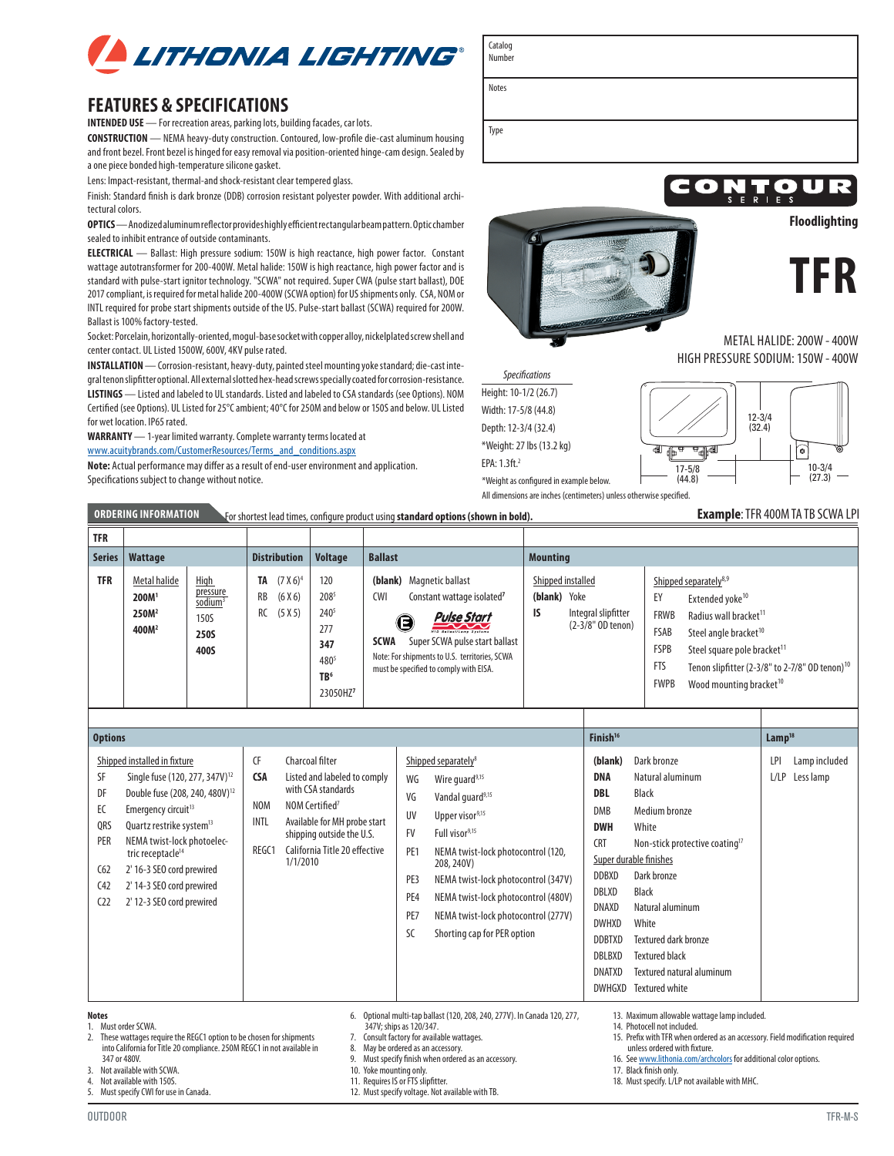

## **FEATURES & SPECIFICATIONS**

**INTENDED USE** — For recreation areas, parking lots, building facades, car lots.

**CONSTRUCTION** — NEMA heavy-duty construction. Contoured, low-profile die-cast aluminum housing and front bezel. Front bezel is hinged for easy removal via position-oriented hinge-cam design. Sealed by a one piece bonded high-temperature silicone gasket.

Lens: Impact-resistant, thermal-and shock-resistant clear tempered glass.

Finish: Standard finish is dark bronze (DDB) corrosion resistant polyester powder. With additional architectural colors.

**OPTICS** — Anodized aluminum reflector provides highly efficient rectangular beam pattern. Optic chamber sealed to inhibit entrance of outside contaminants.

**ELECTRICAL** — Ballast: High pressure sodium: 150W is high reactance, high power factor. Constant wattage autotransformer for 200-400W. Metal halide: 150W is high reactance, high power factor and is standard with pulse-start ignitor technology. "SCWA" not required. Super CWA (pulse start ballast), DOE 2017 compliant, is required for metal halide 200-400W (SCWA option) for US shipments only. CSA, NOM or INTL required for probe start shipments outside of the US. Pulse-start ballast (SCWA) required for 200W. Ballast is 100% factory-tested.

Socket: Porcelain, horizontally-oriented, mogul-base socket with copper alloy, nickelplated screw shell and center contact. UL Listed 1500W, 600V, 4KV pulse rated.

**INSTALLATION** — Corrosion-resistant, heavy-duty, painted steel mounting yoke standard; die-cast integral tenon slipfitter optional. All external slotted hex-head screws specially coated for corrosion-resistance. **LISTINGS** — Listed and labeled to UL standards. Listed and labeled to CSA standards (see Options). NOM Certified (see Options). UL Listed for 25°C ambient; 40°C for 250M and below or 150S and below. UL Listed for wet location. IP65 rated.

**WARRANTY** — 1-year limited warranty. Complete warranty terms located at [www.acuitybrands.com/CustomerResources/Terms\\_and\\_conditions.aspx](http://www.acuitybrands.com/CustomerResources/Terms_and_conditions.aspx)

**Note:** Actual performance may differ as a result of end-user environment and application. Specifications subject to change without notice.

Catalog Number

Notes

Type



unless ordered with fixture.

18. Must specify. L/LP not available with MHC.

17. Black finish only.

16. See [www.lithonia.com/archcolors](http://www.lithonia.com/archcolors) for additional color options.



METAL HALIDE: 200W - 400W HIGH PRESSURE SODIUM: 150W - 400W

\*Weight as configured in example below. *Specifications* Height: 10-1/2 (26.7) Width: 17-5/8 (44.8) Depth: 12-3/4 (32.4) \*Weight: 27 lbs (13.2 kg) EPA: 1.3ft.2



All dimensions are inches (centimeters) unless otherwise specified.

# **ORDERING INFORMATION** For shortest lead times, configure product using **standard options (shown in bold). Example**: TFR 400M TA TB SCWA LPI

| <u>UNUENING INFUNISHI IUN</u><br>For shortest lead times, configure product using <b>standard options (shown in bold).</b><br><b>EXAILIBLE.</b> IT N <del>T</del> UUM TA TD JUWA LET |                                                                             |                                                                               |                     |                                   |                                                                                                  |                           |                                                                                                                                                                                                                                                             |                 |                                                                       |                                                                       |                                                                                                                                                                                                                                                                                            |  |
|--------------------------------------------------------------------------------------------------------------------------------------------------------------------------------------|-----------------------------------------------------------------------------|-------------------------------------------------------------------------------|---------------------|-----------------------------------|--------------------------------------------------------------------------------------------------|---------------------------|-------------------------------------------------------------------------------------------------------------------------------------------------------------------------------------------------------------------------------------------------------------|-----------------|-----------------------------------------------------------------------|-----------------------------------------------------------------------|--------------------------------------------------------------------------------------------------------------------------------------------------------------------------------------------------------------------------------------------------------------------------------------------|--|
| <b>TFR</b>                                                                                                                                                                           |                                                                             |                                                                               |                     |                                   |                                                                                                  |                           |                                                                                                                                                                                                                                                             |                 |                                                                       |                                                                       |                                                                                                                                                                                                                                                                                            |  |
| Series                                                                                                                                                                               | Wattage                                                                     |                                                                               | <b>Distribution</b> |                                   | <b>Voltage</b>                                                                                   | <b>Ballast</b>            |                                                                                                                                                                                                                                                             | <b>Mounting</b> |                                                                       |                                                                       |                                                                                                                                                                                                                                                                                            |  |
| <b>TFR</b>                                                                                                                                                                           | Metal halide<br>200M <sup>1</sup><br>250M <sup>2</sup><br>400M <sup>2</sup> | <b>High</b><br>pressure<br>sodium <sup>3</sup><br>150S<br><b>250S</b><br>400S | TA<br>RB<br>RC      | $(7 X 6)^4$<br>(6 X 6)<br>(5 X 5) | 120<br>2085<br>240 <sup>5</sup><br>277<br>347<br>4805<br>TB <sup>6</sup><br>23050HZ <sup>7</sup> | <b>CWI</b><br><b>SCWA</b> | (blank) Magnetic ballast<br>Constant wattage isolated <sup>7</sup><br>Pulse Start<br>G<br>z<br><b>HID Ballast/Lamp Systems</b><br>Super SCWA pulse start ballast<br>Note: For shipments to U.S. territories, SCWA<br>must be specified to comply with EISA. | (blank)<br>IS   | Shipped installed<br>Yoke<br>Integral slipfitter<br>(2-3/8" OD tenon) | EY<br><b>FRWB</b><br>FSAB<br><b>FSPB</b><br><b>FTS</b><br><b>FWPB</b> | Shipped separately <sup>8,9</sup><br>Extended yoke <sup>10</sup><br>Radius wall bracket <sup>11</sup><br>Steel angle bracket <sup>10</sup><br>Steel square pole bracket <sup>11</sup><br>Tenon slipfitter (2-3/8" to 2-7/8" OD tenon) <sup>10</sup><br>Wood mounting bracket <sup>10</sup> |  |

| <b>Options</b>                                                                                                                                                                                                                                                                                                                                                                                                                    |                                                        | Finish <sup>16</sup>                                                                                                                                                                                          |                                                                            |                                                                                                                                                                                                                                                                                                                                                                    | Lamp <sup>18</sup>                                                                                                                                                                    |                                                                                                                                                                                                                                                                                                                      |             |                            |
|-----------------------------------------------------------------------------------------------------------------------------------------------------------------------------------------------------------------------------------------------------------------------------------------------------------------------------------------------------------------------------------------------------------------------------------|--------------------------------------------------------|---------------------------------------------------------------------------------------------------------------------------------------------------------------------------------------------------------------|----------------------------------------------------------------------------|--------------------------------------------------------------------------------------------------------------------------------------------------------------------------------------------------------------------------------------------------------------------------------------------------------------------------------------------------------------------|---------------------------------------------------------------------------------------------------------------------------------------------------------------------------------------|----------------------------------------------------------------------------------------------------------------------------------------------------------------------------------------------------------------------------------------------------------------------------------------------------------------------|-------------|----------------------------|
| Shipped installed in fixture<br>SF<br>Single fuse (120, 277, 347V) <sup>12</sup><br>DF<br>Double fuse (208, 240, 480V) <sup>12</sup><br>EC<br>Emergency circuit <sup>13</sup><br>QRS<br>Quartz restrike system <sup>13</sup><br><b>PER</b><br>NEMA twist-lock photoelec-<br>tric receptacle <sup>14</sup><br>2' 16-3 SEO cord prewired<br>C62<br>2' 14-3 SEO cord prewired<br>(42)<br>C <sub>2</sub><br>2' 12-3 SEO cord prewired | CF<br><b>CSA</b><br><b>NOM</b><br><b>INTL</b><br>REGC1 | Charcoal filter<br>Listed and labeled to comply<br>with CSA standards<br>NOM Certified <sup>7</sup><br>Available for MH probe start<br>shipping outside the U.S.<br>California Title 20 effective<br>1/1/2010 | WG<br>VG<br>UV<br><b>FV</b><br>PE <sub>1</sub><br>PE3<br>PE4<br>PE7<br>SC. | Shipped separately <sup>8</sup><br>Wire quard <sup>9,15</sup><br>Vandal quard <sup>9,15</sup><br>Upper visor <sup>9,15</sup><br>Full visor <sup>9,15</sup><br>NEMA twist-lock photocontrol (120,<br>208, 240V)<br>NEMA twist-lock photocontrol (347V)<br>NEMA twist-lock photocontrol (480V)<br>NEMA twist-lock photocontrol (277V)<br>Shorting cap for PER option | (blank)<br><b>DNA</b><br>DBL<br>DMB<br><b>DWH</b><br><b>CRT</b><br><b>DDBXD</b><br>DBLXD<br>DNAXD<br><b>DWHXD</b><br><b>DDBTXD</b><br><b>DBLBXD</b><br><b>DNATXD</b><br><b>DWHGXD</b> | Dark bronze<br>Natural aluminum<br><b>Black</b><br>Medium bronze<br>White<br>Non-stick protective coating <sup>17</sup><br>Super durable finishes<br>Dark bronze<br><b>Black</b><br>Natural aluminum<br>White<br><b>Textured dark bronze</b><br><b>Textured black</b><br>Textured natural aluminum<br>Textured white | LPI<br>L/LP | Lamp included<br>Less lamp |
| <b>Notes</b><br>13. Maximum allowable wattage lamp included.<br>Optional multi-tap ballast (120, 208, 240, 277V). In Canada 120, 277,<br>6.<br>Must order SCWA.<br>14. Photocell not included.<br>347V; ships as 120/347.<br>2. These wattages require the REGC1 option to be chosen for shipments<br>15. Prefix with TFR when ordered as an accessory. Field modification required<br>7. Consult factory for available wattages. |                                                        |                                                                                                                                                                                                               |                                                                            |                                                                                                                                                                                                                                                                                                                                                                    |                                                                                                                                                                                       |                                                                                                                                                                                                                                                                                                                      |             |                            |

7. Consult factory for available wattages.<br>8. May be ordered as an accessory.

8. May be ordered as an accessory.<br>9. Must specify finish when ordered

9. Must specify finish when ordered as an accessory.<br>10. Yoke mounting only.

Yoke mounting only.

- 11. Requires IS or FTS slipfitter.
- 12. Must specify voltage. Not available with TB.

4. Not available with 150S. 5. Must specify CWI for use in Canada.

347 or 480V. 3. Not available with SCWA.

into California for Title 20 compliance. 250M REGC1 in not available in